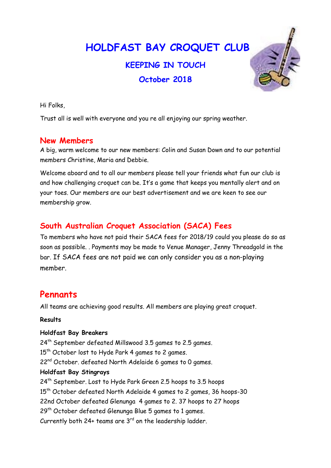HOLDFAST BAY CROQUET CLUB

# KEEPING IN TOUCH October 2018



Trust all is well with everyone and you re all enjoying our spring weather.

#### New Members

A big, warm welcome to our new members: Colin and Susan Down and to our potential members Christine, Maria and Debbie.

Welcome aboard and to all our members please tell your friends what fun our club is and how challenging croquet can be. It's a game that keeps you mentally alert and on your toes. Our members are our best advertisement and we are keen to see our membership grow.

# South Australian Croquet Association (SACA) Fees

To members who have not paid their SACA fees for 2018/19 could you please do so as soon as possible. . Payments may be made to Venue Manager, Jenny Threadgold in the bar. If SACA fees are not paid we can only consider you as a non-playing member.

# **Pennants**

All teams are achieving good results. All members are playing great croquet.

#### Results

#### Holdfast Bay Breakers

 $24<sup>th</sup>$  September defeated Millswood 3.5 games to 2.5 games. 15<sup>th</sup> October lost to Hyde Park 4 games to 2 games. 22<sup>nd</sup> October. defeated North Adelaide 6 games to 0 games. Holdfast Bay Stingrays 24<sup>th</sup> September. Lost to Hyde Park Green 2.5 hoops to 3.5 hoops 15<sup>th</sup> October defeated North Adelaide 4 games to 2 games, 36 hoops-30 22nd October defeated Glenunga 4 games to 2. 37 hoops to 27 hoops 29<sup>th</sup> October defeated Glenunga Blue 5 games to 1 games. Currently both  $24+$  teams are  $3<sup>rd</sup>$  on the leadership ladder.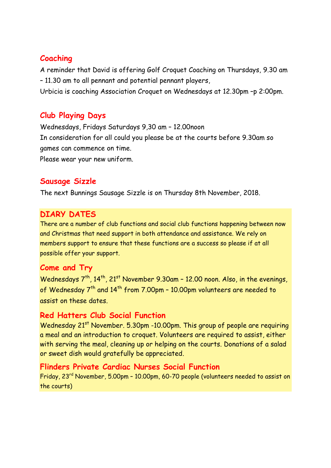# Coaching

A reminder that David is offering Golf Croquet Coaching on Thursdays, 9.30 am – 11.30 am to all pennant and potential pennant players, Urbicia is coaching Association Croquet on Wednesdays at 12.30pm –p 2:00pm.

#### Club Playing Days

Wednesdays, Fridays Saturdays 9,30 am – 12.00noon In consideration for all could you please be at the courts before 9.30am so games can commence on time. Please wear your new uniform.

# Sausage Sizzle

The next Bunnings Sausage Sizzle is on Thursday 8th November, 2018.

#### DIARY DATES

There are a number of club functions and social club functions happening between now and Christmas that need support in both attendance and assistance. We rely on members support to ensure that these functions are a success so please if at all possible offer your support.

# Come and Try

Wednesdays  $7<sup>th</sup>$ ,  $14<sup>th</sup>$ ,  $21<sup>st</sup>$  November 9.30am - 12.00 noon. Also, in the evenings, of Wednesday 7<sup>th</sup> and 14<sup>th</sup> from 7.00pm - 10.00pm volunteers are needed to assist on these dates.

# Red Hatters Club Social Function

Wednesday 21<sup>st</sup> November. 5.30pm -10.00pm. This group of people are requiring a meal and an introduction to croquet. Volunteers are required to assist, either with serving the meal, cleaning up or helping on the courts. Donations of a salad or sweet dish would gratefully be appreciated.

#### Flinders Private Cardiac Nurses Social Function

Friday, 23rd November, 5.00pm – 10.00pm, 60-70 people (volunteers needed to assist on the courts)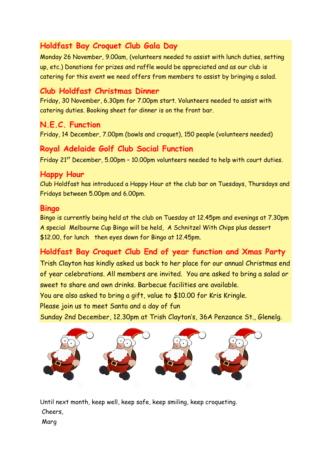# Holdfast Bay Croquet Club Gala Day

Monday 26 November, 9.00am, (volunteers needed to assist with lunch duties, setting up, etc.) Donations for prizes and raffle would be appreciated and as our club is catering for this event we need offers from members to assist by bringing a salad.

# Club Holdfast Christmas Dinner

Friday, 30 November, 6.30pm for 7.00pm start. Volunteers needed to assist with catering duties. Booking sheet for dinner is on the front bar.

# N.E.C. Function

Friday, 14 December, 7.00pm (bowls and croquet), 150 people (volunteers needed)

# Royal Adelaide Golf Club Social Function

Friday 21<sup>st</sup> December, 5.00pm - 10.00pm volunteers needed to help with court duties.

#### Happy Hour

Club Holdfast has introduced a Happy Hour at the club bar on Tuesdays, Thursdays and Fridays between 5.00pm and 6.00pm.

#### Bingo

Bingo is currently being held at the club on Tuesday at 12.45pm and evenings at 7.30pm A special Melbourne Cup Bingo will be held, A Schnitzel With Chips plus dessert \$12.00, for lunch then eyes down for Bingo at 12.45pm.

# Holdfast Bay Croquet Club End of year function and Xmas Party

Trish Clayton has kindly asked us back to her place for our annual Christmas end of year celebrations. All members are invited. You are asked to bring a salad or sweet to share and own drinks. Barbecue facilities are available.

You are also asked to bring a gift, value to \$10.00 for Kris Kringle.

Please join us to meet Santa and a day of fun

Sunday 2nd December, 12.30pm at Trish Clayton's, 36A Penzance St., Glenelg.



Until next month, keep well, keep safe, keep smiling, keep croqueting. Cheers,

Marg